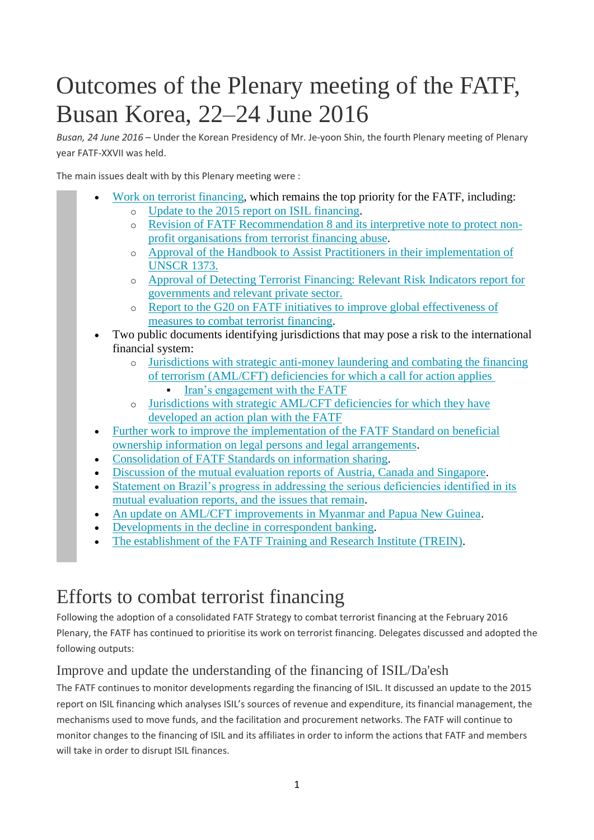# Outcomes of the Plenary meeting of the FATF, Busan Korea, 22–24 June 2016

*Busan, 24 June 2016* – Under the Korean Presidency of Mr. Je-yoon Shin, the fourth Plenary meeting of Plenary year FATF-XXVII was held.

The main issues dealt with by this Plenary meeting were :

- [Work on terrorist financing,](http://www.fatf-gafi.org/publications/fatfgeneral/documents/plenary-outcomes-june-2016.html#tf) which remains the top priority for the FATF, including: o [Update to the 2015 report on ISIL financing.](http://www.fatf-gafi.org/publications/fatfgeneral/documents/plenary-outcomes-june-2016.html#isil)
	- o [Revision of FATF Recommendation 8 and its interpretive note to protect non](http://www.fatf-gafi.org/publications/fatfgeneral/documents/plenary-outcomes-june-2016.html#npo)[profit organisations from terrorist financing abuse.](http://www.fatf-gafi.org/publications/fatfgeneral/documents/plenary-outcomes-june-2016.html#npo)
	- o Approval of [the Handbook to Assist Practitioners in their implementation of](http://www.fatf-gafi.org/publications/fatfgeneral/documents/plenary-outcomes-june-2016.html#TFS)  [UNSCR 1373.](http://www.fatf-gafi.org/publications/fatfgeneral/documents/plenary-outcomes-june-2016.html#TFS)
	- o [Approval of Detecting Terrorist Financing: Relevant Risk Indicators report for](http://www.fatf-gafi.org/publications/fatfgeneral/documents/plenary-outcomes-june-2016.html#INT_COOP)  [governments and relevant private sector.](http://www.fatf-gafi.org/publications/fatfgeneral/documents/plenary-outcomes-june-2016.html#INT_COOP)
	- o [Report to the G20 on FATF initiatives to improve global effectiveness of](http://www.fatf-gafi.org/publications/fatfgeneral/documents/plenary-outcomes-june-2016.html#Future)  [measures to combat terrorist financing.](http://www.fatf-gafi.org/publications/fatfgeneral/documents/plenary-outcomes-june-2016.html#Future)
- Two public documents identifying jurisdictions that may pose a risk to the international financial system:
	- o [Jurisdictions with strategic anti-money laundering and combating the financing](http://www.fatf-gafi.org/publications/high-riskandnon-cooperativejurisdictions/documents/public-statement-june-2016.html)  [of terrorism \(AML/CFT\) deficiencies for which a call for action applies](http://www.fatf-gafi.org/publications/high-riskandnon-cooperativejurisdictions/documents/public-statement-june-2016.html)
		- [Iran's engagement with the FATF](http://www.fatf-gafi.org/publications/fatfgeneral/documents/plenary-outcomes-june-2016.html#iran)
	- o [Jurisdictions with strategic AML/CFT deficiencies for which they have](http://www.fatf-gafi.org/publications/high-riskandnon-cooperativejurisdictions/documents/fatf-compliance-june-2016.html)  [developed an action plan with the FATF](http://www.fatf-gafi.org/publications/high-riskandnon-cooperativejurisdictions/documents/fatf-compliance-june-2016.html)
- [Further work to improve the implementation of the FATF Standard on beneficial](http://www.fatf-gafi.org/publications/fatfgeneral/documents/plenary-outcomes-june-2016.html#transparency)  [ownership information on legal persons and legal arrangements.](http://www.fatf-gafi.org/publications/fatfgeneral/documents/plenary-outcomes-june-2016.html#transparency)
- [Consolidation of FATF Standards on information sharing.](http://www.fatf-gafi.org/publications/fatfgeneral/documents/plenary-outcomes-june-2016.html#info_sharing)
- [Discussion of the mutual evaluation reports of Austria, Canada and Singapore.](http://www.fatf-gafi.org/publications/fatfgeneral/documents/plenary-outcomes-june-2016.html#mer)
- [Statement on Brazil's progress in addressing the serious deficiencies identified in its](http://www.fatf-gafi.org/publications/fatfgeneral/documents/plenary-outcomes-june-2016.html#Brazil)  [mutual evaluation reports, and the issues that remain.](http://www.fatf-gafi.org/publications/fatfgeneral/documents/plenary-outcomes-june-2016.html#Brazil)
- [An update on AML/CFT improvements in Myanmar and Papua New Guinea.](http://www.fatf-gafi.org/publications/fatfgeneral/documents/plenary-outcomes-june-2016.html#myanmar)
- [Developments in the decline in correspondent banking.](http://www.fatf-gafi.org/publications/fatfgeneral/documents/plenary-outcomes-june-2016.html#corr_banking)
- [The establishment of the FATF Training and Research Institute \(TREIN\).](http://www.fatf-gafi.org/publications/fatfgeneral/documents/plenary-outcomes-june-2016.html#TREIN)

### Efforts to combat terrorist financing

Following the adoption of a consolidated FATF Strategy to combat terrorist financing at the February 2016 Plenary, the FATF has continued to prioritise its work on terrorist financing. Delegates discussed and adopted the following outputs:

### Improve and update the understanding of the financing of ISIL/Da'esh

The FATF continues to monitor developments regarding the financing of ISIL. It discussed an update to the 2015 report on ISIL financing which analyses ISIL's sources of revenue and expenditure, its financial management, the mechanisms used to move funds, and the facilitation and procurement networks. The FATF will continue to monitor changes to the financing of ISIL and its affiliates in order to inform the actions that FATF and members will take in order to disrupt ISIL finances.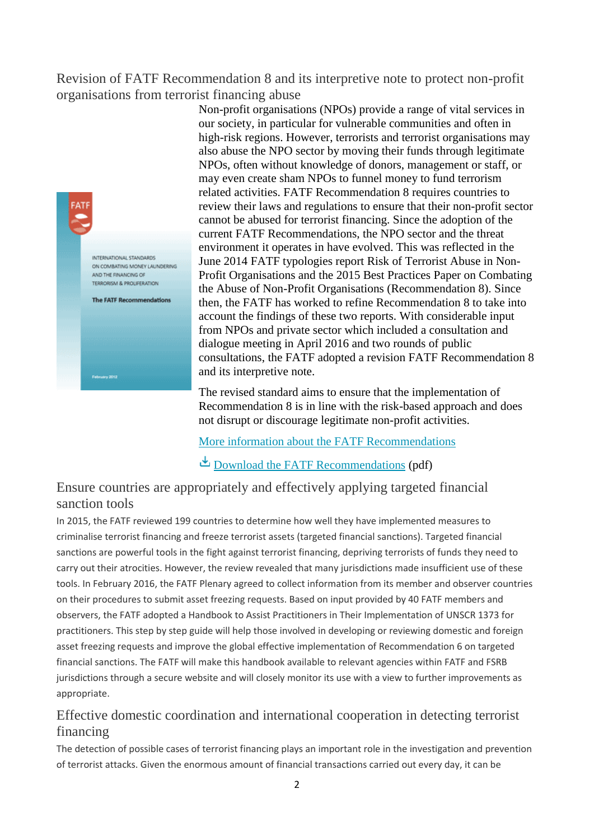### Revision of FATF Recommendation 8 and its interpretive note to protect non-profit organisations from terrorist financing abuse



Non-profit organisations (NPOs) provide a range of vital services in our society, in particular for vulnerable communities and often in high-risk regions. However, terrorists and terrorist organisations may also abuse the NPO sector by moving their funds through legitimate NPOs, often without knowledge of donors, management or staff, or may even create sham NPOs to funnel money to fund terrorism related activities. FATF Recommendation 8 requires countries to review their laws and regulations to ensure that their non-profit sector cannot be abused for terrorist financing. Since the adoption of the current FATF Recommendations, the NPO sector and the threat environment it operates in have evolved. This was reflected in the June 2014 FATF typologies report Risk of Terrorist Abuse in Non-Profit Organisations and the 2015 Best Practices Paper on Combating the Abuse of Non-Profit Organisations (Recommendation 8). Since then, the FATF has worked to refine Recommendation 8 to take into account the findings of these two reports. With considerable input from NPOs and private sector which included a consultation and dialogue meeting in April 2016 and two rounds of public consultations, the FATF adopted a revision FATF Recommendation 8 and its interpretive note.

The revised standard aims to ensure that the implementation of Recommendation 8 is in line with the risk-based approach and does not disrupt or discourage legitimate non-profit activities.

[More information about the FATF Recommendations](http://www.fatf-gafi.org/publications/fatfrecommendations/documents/fatf-recommendations.html)

#### Ensure countries are appropriately and effectively applying targeted financial sanction tools

In 2015, the FATF reviewed 199 countries to determine how well they have implemented measures to criminalise terrorist financing and freeze terrorist assets (targeted financial sanctions). Targeted financial sanctions are powerful tools in the fight against terrorist financing, depriving terrorists of funds they need to carry out their atrocities. However, the review revealed that many jurisdictions made insufficient use of these tools. In February 2016, the FATF Plenary agreed to collect information from its member and observer countries on their procedures to submit asset freezing requests. Based on input provided by 40 FATF members and observers, the FATF adopted a Handbook to Assist Practitioners in Their Implementation of UNSCR 1373 for practitioners. This step by step guide will help those involved in developing or reviewing domestic and foreign asset freezing requests and improve the global effective implementation of Recommendation 6 on targeted financial sanctions. The FATF will make this handbook available to relevant agencies within FATF and FSRB jurisdictions through a secure website and will closely monitor its use with a view to further improvements as appropriate.

### Effective domestic coordination and international cooperation in detecting terrorist financing

The detection of possible cases of terrorist financing plays an important role in the investigation and prevention of terrorist attacks. Given the enormous amount of financial transactions carried out every day, it can be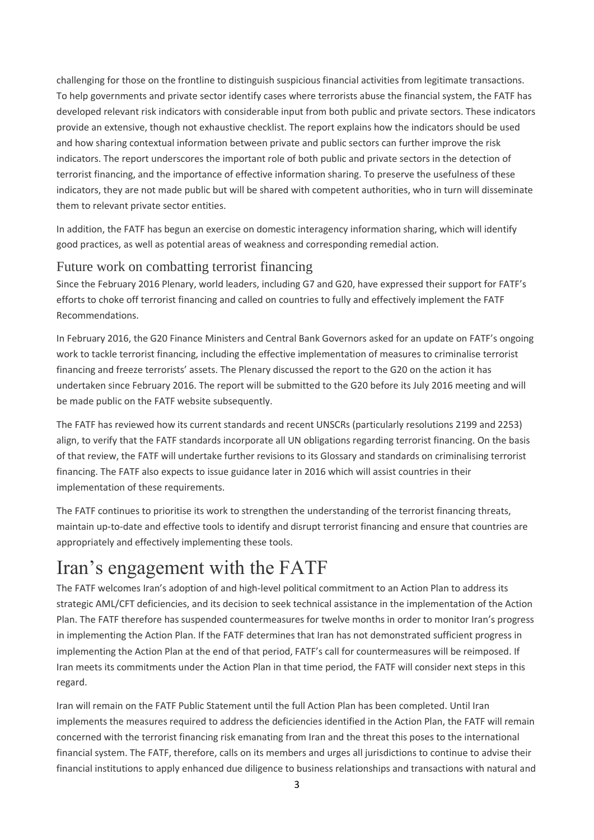challenging for those on the frontline to distinguish suspicious financial activities from legitimate transactions. To help governments and private sector identify cases where terrorists abuse the financial system, the FATF has developed relevant risk indicators with considerable input from both public and private sectors. These indicators provide an extensive, though not exhaustive checklist. The report explains how the indicators should be used and how sharing contextual information between private and public sectors can further improve the risk indicators. The report underscores the important role of both public and private sectors in the detection of terrorist financing, and the importance of effective information sharing. To preserve the usefulness of these indicators, they are not made public but will be shared with competent authorities, who in turn will disseminate them to relevant private sector entities.

In addition, the FATF has begun an exercise on domestic interagency information sharing, which will identify good practices, as well as potential areas of weakness and corresponding remedial action.

#### Future work on combatting terrorist financing

Since the February 2016 Plenary, world leaders, including G7 and G20, have expressed their support for FATF's efforts to choke off terrorist financing and called on countries to fully and effectively implement the FATF Recommendations.

In February 2016, the G20 Finance Ministers and Central Bank Governors asked for an update on FATF's ongoing work to tackle terrorist financing, including the effective implementation of measures to criminalise terrorist financing and freeze terrorists' assets. The Plenary discussed the report to the G20 on the action it has undertaken since February 2016. The report will be submitted to the G20 before its July 2016 meeting and will be made public on the FATF website subsequently.

The FATF has reviewed how its current standards and recent UNSCRs (particularly resolutions 2199 and 2253) align, to verify that the FATF standards incorporate all UN obligations regarding terrorist financing. On the basis of that review, the FATF will undertake further revisions to its Glossary and standards on criminalising terrorist financing. The FATF also expects to issue guidance later in 2016 which will assist countries in their implementation of these requirements.

The FATF continues to prioritise its work to strengthen the understanding of the terrorist financing threats, maintain up-to-date and effective tools to identify and disrupt terrorist financing and ensure that countries are appropriately and effectively implementing these tools.

### Iran's engagement with the FATF

The FATF welcomes Iran's adoption of and high-level political commitment to an Action Plan to address its strategic AML/CFT deficiencies, and its decision to seek technical assistance in the implementation of the Action Plan. The FATF therefore has suspended countermeasures for twelve months in order to monitor Iran's progress in implementing the Action Plan. If the FATF determines that Iran has not demonstrated sufficient progress in implementing the Action Plan at the end of that period, FATF's call for countermeasures will be reimposed. If Iran meets its commitments under the Action Plan in that time period, the FATF will consider next steps in this regard.

Iran will remain on the FATF Public Statement until the full Action Plan has been completed. Until Iran implements the measures required to address the deficiencies identified in the Action Plan, the FATF will remain concerned with the terrorist financing risk emanating from Iran and the threat this poses to the international financial system. The FATF, therefore, calls on its members and urges all jurisdictions to continue to advise their financial institutions to apply enhanced due diligence to business relationships and transactions with natural and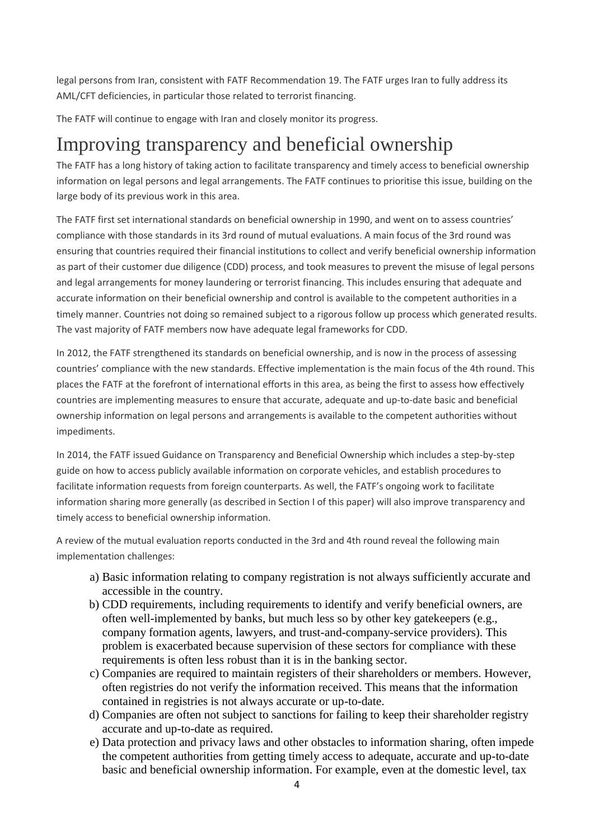legal persons from Iran, consistent with FATF Recommendation 19. The FATF urges Iran to fully address its AML/CFT deficiencies, in particular those related to terrorist financing.

The FATF will continue to engage with Iran and closely monitor its progress.

### Improving transparency and beneficial ownership

The FATF has a long history of taking action to facilitate transparency and timely access to beneficial ownership information on legal persons and legal arrangements. The FATF continues to prioritise this issue, building on the large body of its previous work in this area.

The FATF first set international standards on beneficial ownership in 1990, and went on to assess countries' compliance with those standards in its 3rd round of mutual evaluations. A main focus of the 3rd round was ensuring that countries required their financial institutions to collect and verify beneficial ownership information as part of their customer due diligence (CDD) process, and took measures to prevent the misuse of legal persons and legal arrangements for money laundering or terrorist financing. This includes ensuring that adequate and accurate information on their beneficial ownership and control is available to the competent authorities in a timely manner. Countries not doing so remained subject to a rigorous follow up process which generated results. The vast majority of FATF members now have adequate legal frameworks for CDD.

In 2012, the FATF strengthened its standards on beneficial ownership, and is now in the process of assessing countries' compliance with the new standards. Effective implementation is the main focus of the 4th round. This places the FATF at the forefront of international efforts in this area, as being the first to assess how effectively countries are implementing measures to ensure that accurate, adequate and up-to-date basic and beneficial ownership information on legal persons and arrangements is available to the competent authorities without impediments.

In 2014, the FATF issued Guidance on Transparency and Beneficial Ownership which includes a step-by-step guide on how to access publicly available information on corporate vehicles, and establish procedures to facilitate information requests from foreign counterparts. As well, the FATF's ongoing work to facilitate information sharing more generally (as described in Section I of this paper) will also improve transparency and timely access to beneficial ownership information.

A review of the mutual evaluation reports conducted in the 3rd and 4th round reveal the following main implementation challenges:

- a) Basic information relating to company registration is not always sufficiently accurate and accessible in the country.
- b) CDD requirements, including requirements to identify and verify beneficial owners, are often well-implemented by banks, but much less so by other key gatekeepers (e.g., company formation agents, lawyers, and trust-and-company-service providers). This problem is exacerbated because supervision of these sectors for compliance with these requirements is often less robust than it is in the banking sector.
- c) Companies are required to maintain registers of their shareholders or members. However, often registries do not verify the information received. This means that the information contained in registries is not always accurate or up-to-date.
- d) Companies are often not subject to sanctions for failing to keep their shareholder registry accurate and up-to-date as required.
- e) Data protection and privacy laws and other obstacles to information sharing, often impede the competent authorities from getting timely access to adequate, accurate and up-to-date basic and beneficial ownership information. For example, even at the domestic level, tax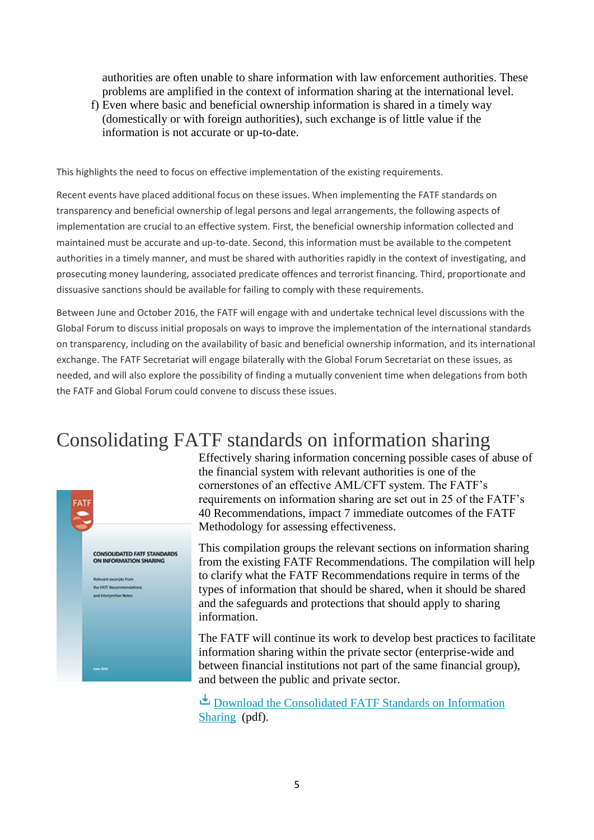authorities are often unable to share information with law enforcement authorities. These problems are amplified in the context of information sharing at the international level.

f) Even where basic and beneficial ownership information is shared in a timely way (domestically or with foreign authorities), such exchange is of little value if the information is not accurate or up-to-date.

This highlights the need to focus on effective implementation of the existing requirements.

Recent events have placed additional focus on these issues. When implementing the FATF standards on transparency and beneficial ownership of legal persons and legal arrangements, the following aspects of implementation are crucial to an effective system. First, the beneficial ownership information collected and maintained must be accurate and up-to-date. Second, this information must be available to the competent authorities in a timely manner, and must be shared with authorities rapidly in the context of investigating, and prosecuting money laundering, associated predicate offences and terrorist financing. Third, proportionate and dissuasive sanctions should be available for failing to comply with these requirements.

Between June and October 2016, the FATF will engage with and undertake technical level discussions with the Global Forum to discuss initial proposals on ways to improve the implementation of the international standards on transparency, including on the availability of basic and beneficial ownership information, and its international exchange. The FATF Secretariat will engage bilaterally with the Global Forum Secretariat on these issues, as needed, and will also explore the possibility of finding a mutually convenient time when delegations from both the FATF and Global Forum could convene to discuss these issues.

### Consolidating FATF standards on information sharing



Effectively sharing information concerning possible cases of abuse of the financial system with relevant authorities is one of the cornerstones of an effective AML/CFT system. The FATF's requirements on information sharing are set out in 25 of the FATF's 40 Recommendations, impact 7 immediate outcomes of the FATF Methodology for assessing effectiveness.

This compilation groups the relevant sections on information sharing from the existing FATF Recommendations. The compilation will help to clarify what the FATF Recommendations require in terms of the types of information that should be shared, when it should be shared and the safeguards and protections that should apply to sharing information.

The FATF will continue its work to develop best practices to facilitate information sharing within the private sector (enterprise-wide and between financial institutions not part of the same financial group), and between the public and private sector.

[Download the Consolidated FATF Standards on Information](http://www.fatf-gafi.org/media/fatf/documents/recommendations/pdfs/Consolidated-FATF-Standards-information-sharing.pdf)  [Sharing](http://www.fatf-gafi.org/media/fatf/documents/recommendations/pdfs/Consolidated-FATF-Standards-information-sharing.pdf) (pdf).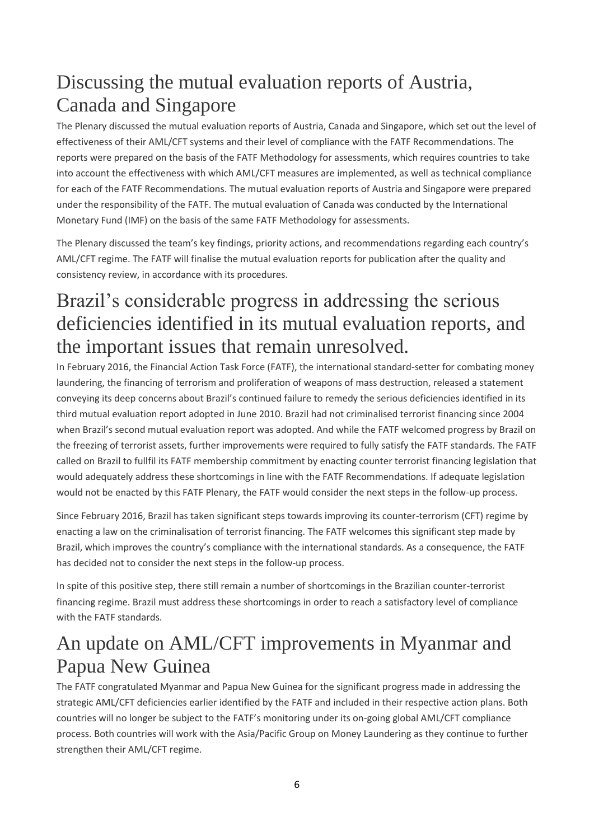## Discussing the mutual evaluation reports of Austria, Canada and Singapore

The Plenary discussed the mutual evaluation reports of Austria, Canada and Singapore, which set out the level of effectiveness of their AML/CFT systems and their level of compliance with the FATF Recommendations. The reports were prepared on the basis of the FATF Methodology for assessments, which requires countries to take into account the effectiveness with which AML/CFT measures are implemented, as well as technical compliance for each of the FATF Recommendations. The mutual evaluation reports of Austria and Singapore were prepared under the responsibility of the FATF. The mutual evaluation of Canada was conducted by the International Monetary Fund (IMF) on the basis of the same FATF Methodology for assessments.

The Plenary discussed the team's key findings, priority actions, and recommendations regarding each country's AML/CFT regime. The FATF will finalise the mutual evaluation reports for publication after the quality and consistency review, in accordance with its procedures.

## Brazil's considerable progress in addressing the serious deficiencies identified in its mutual evaluation reports, and the important issues that remain unresolved.

In February 2016, the Financial Action Task Force (FATF), the international standard-setter for combating money laundering, the financing of terrorism and proliferation of weapons of mass destruction, released a statement conveying its deep concerns about Brazil's continued failure to remedy the serious deficiencies identified in its third mutual evaluation report adopted in June 2010. Brazil had not criminalised terrorist financing since 2004 when Brazil's second mutual evaluation report was adopted. And while the FATF welcomed progress by Brazil on the freezing of terrorist assets, further improvements were required to fully satisfy the FATF standards. The FATF called on Brazil to fullfil its FATF membership commitment by enacting counter terrorist financing legislation that would adequately address these shortcomings in line with the FATF Recommendations. If adequate legislation would not be enacted by this FATF Plenary, the FATF would consider the next steps in the follow-up process.

Since February 2016, Brazil has taken significant steps towards improving its counter-terrorism (CFT) regime by enacting a law on the criminalisation of terrorist financing. The FATF welcomes this significant step made by Brazil, which improves the country's compliance with the international standards. As a consequence, the FATF has decided not to consider the next steps in the follow-up process.

In spite of this positive step, there still remain a number of shortcomings in the Brazilian counter-terrorist financing regime. Brazil must address these shortcomings in order to reach a satisfactory level of compliance with the FATF standards.

## An update on AML/CFT improvements in Myanmar and Papua New Guinea

The FATF congratulated Myanmar and Papua New Guinea for the significant progress made in addressing the strategic AML/CFT deficiencies earlier identified by the FATF and included in their respective action plans. Both countries will no longer be subject to the FATF's monitoring under its on-going global AML/CFT compliance process. Both countries will work with the Asia/Pacific Group on Money Laundering as they continue to further strengthen their AML/CFT regime.